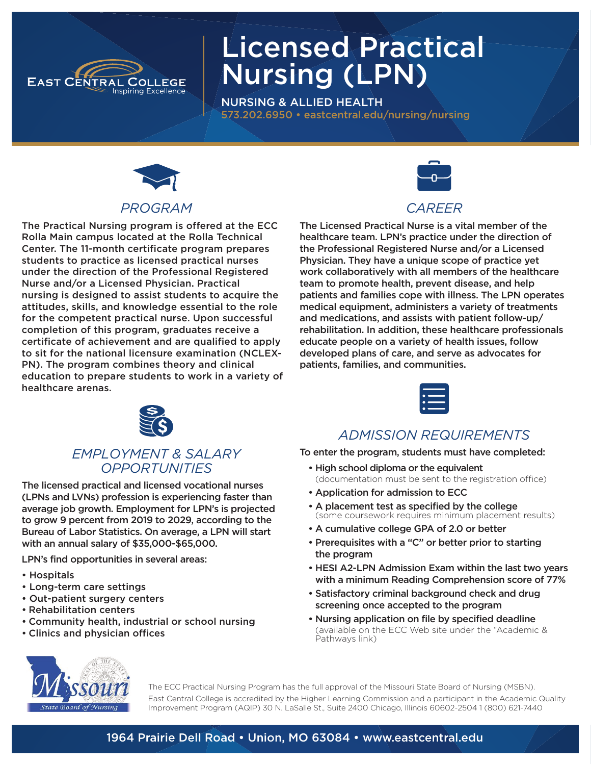

# Licensed Practical Nursing (LPN)

NURSING & ALLIED HEALTH 573.202.6950 • eastcentral.edu/nursing/nursing



#### *PROGRAM*

The Practical Nursing program is offered at the ECC Rolla Main campus located at the Rolla Technical Center. The 11-month certificate program prepares students to practice as licensed practical nurses under the direction of the Professional Registered Nurse and/or a Licensed Physician. Practical nursing is designed to assist students to acquire the attitudes, skills, and knowledge essential to the role for the competent practical nurse. Upon successful completion of this program, graduates receive a certificate of achievement and are qualified to apply to sit for the national licensure examination (NCLEX-PN). The program combines theory and clinical education to prepare students to work in a variety of healthcare arenas.



#### *CAREER*

The Licensed Practical Nurse is a vital member of the healthcare team. LPN's practice under the direction of the Professional Registered Nurse and/or a Licensed Physician. They have a unique scope of practice yet work collaboratively with all members of the healthcare team to promote health, prevent disease, and help patients and families cope with illness. The LPN operates medical equipment, administers a variety of treatments and medications, and assists with patient follow-up/ rehabilitation. In addition, these healthcare professionals educate people on a variety of health issues, follow developed plans of care, and serve as advocates for patients, families, and communities.



#### *EMPLOYMENT & SALARY OPPORTUNITIES*

The licensed practical and licensed vocational nurses (LPNs and LVNs) profession is experiencing faster than average job growth. Employment for LPN's is projected to grow 9 percent from 2019 to 2029, according to the Bureau of Labor Statistics. On average, a LPN will start with an annual salary of \$35,000-\$65,000.

LPN's find opportunities in several areas:

- Hospitals
- Long-term care settings
- Out-patient surgery centers
- Rehabilitation centers
- Community health, industrial or school nursing
- Clinics and physician offices



#### *ADMISSION REQUIREMENTS*

To enter the program, students must have completed:

- High school diploma or the equivalent (documentation must be sent to the registration office)
- Application for admission to ECC
- A placement test as specified by the college (some coursework requires minimum placement results)
- A cumulative college GPA of 2.0 or better
- Prerequisites with a "C" or better prior to starting the program
- HESI A2-LPN Admission Exam within the last two years with a minimum Reading Comprehension score of 77%
- Satisfactory criminal background check and drug screening once accepted to the program
- Nursing application on file by specified deadline (available on the ECC Web site under the "Academic & Pathways link)



The ECC Practical Nursing Program has the full approval of the Missouri State Board of Nursing (MSBN). East Central College is accredited by the Higher Learning Commission and a participant in the Academic Quality Improvement Program (AQIP) 30 N. LaSalle St., Suite 2400 Chicago, Illinois 60602-2504 1 (800) 621-7440

#### 1964 Prairie Dell Road • Union, MO 63084 • www.eastcentral.edu